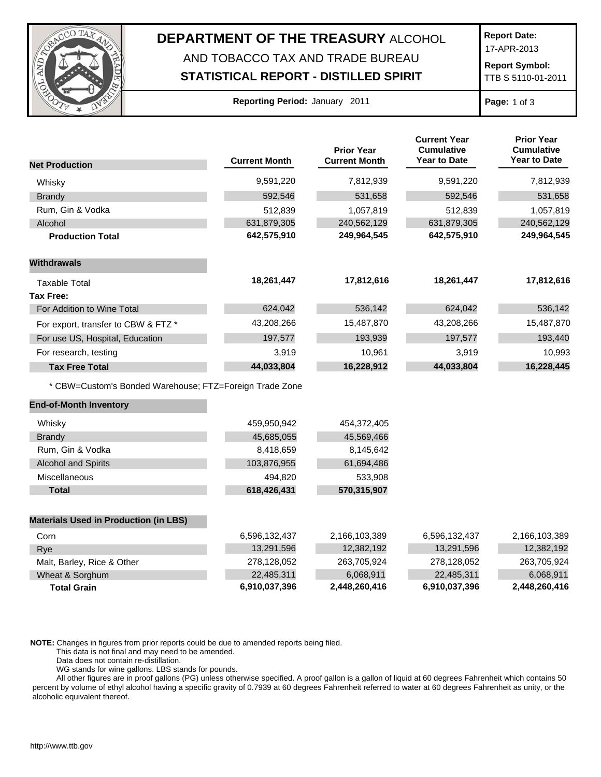

## **DEPARTMENT OF THE TREASURY** ALCOHOL AND TOBACCO TAX AND TRADE BUREAU

## **STATISTICAL REPORT - DISTILLED SPIRIT**

**Report Date:**

17-APR-2013

**Report Symbol:** TTB S 5110-01-2011

| <b>Reporting Period: January 2011</b> |  |  |  |
|---------------------------------------|--|--|--|
|---------------------------------------|--|--|--|

**Page:** 1 of 3

|                                                         |                      | <b>Prior Year</b>    | <b>Current Year</b><br><b>Cumulative</b> | <b>Prior Year</b><br><b>Cumulative</b> |
|---------------------------------------------------------|----------------------|----------------------|------------------------------------------|----------------------------------------|
| <b>Net Production</b>                                   | <b>Current Month</b> | <b>Current Month</b> | Year to Date                             | <b>Year to Date</b>                    |
| Whisky                                                  | 9,591,220            | 7,812,939            | 9,591,220                                | 7,812,939                              |
| Brandy                                                  | 592,546              | 531,658              | 592,546                                  | 531,658                                |
| Rum, Gin & Vodka                                        | 512,839              | 1,057,819            | 512,839                                  | 1,057,819                              |
| Alcohol                                                 | 631,879,305          | 240,562,129          | 631,879,305                              | 240,562,129                            |
| <b>Production Total</b>                                 | 642,575,910          | 249,964,545          | 642,575,910                              | 249,964,545                            |
| <b>Withdrawals</b>                                      |                      |                      |                                          |                                        |
| <b>Taxable Total</b>                                    | 18,261,447           | 17,812,616           | 18,261,447                               | 17,812,616                             |
| <b>Tax Free:</b>                                        |                      |                      |                                          |                                        |
| For Addition to Wine Total                              | 624,042              | 536,142              | 624,042                                  | 536,142                                |
| For export, transfer to CBW & FTZ *                     | 43,208,266           | 15,487,870           | 43,208,266                               | 15,487,870                             |
| For use US, Hospital, Education                         | 197,577              | 193,939              | 197,577                                  | 193,440                                |
| For research, testing                                   | 3,919                | 10,961               | 3,919                                    | 10,993                                 |
| <b>Tax Free Total</b>                                   | 44,033,804           | 16,228,912           | 44,033,804                               | 16,228,445                             |
| * CBW=Custom's Bonded Warehouse; FTZ=Foreign Trade Zone |                      |                      |                                          |                                        |
| <b>End-of-Month Inventory</b>                           |                      |                      |                                          |                                        |
| Whisky                                                  | 459,950,942          | 454,372,405          |                                          |                                        |
| <b>Brandy</b>                                           | 45,685,055           | 45,569,466           |                                          |                                        |
| Rum, Gin & Vodka                                        | 8,418,659            | 8,145,642            |                                          |                                        |
| <b>Alcohol and Spirits</b>                              | 103,876,955          | 61,694,486           |                                          |                                        |
| Miscellaneous                                           | 494,820              | 533,908              |                                          |                                        |
| <b>Total</b>                                            | 618,426,431          | 570,315,907          |                                          |                                        |
| <b>Materials Used in Production (in LBS)</b>            |                      |                      |                                          |                                        |
| Corn                                                    | 6,596,132,437        | 2,166,103,389        | 6,596,132,437                            | 2,166,103,389                          |
| Rye                                                     | 13,291,596           | 12,382,192           | 13,291,596                               | 12,382,192                             |
| Malt, Barley, Rice & Other                              | 278,128,052          | 263,705,924          | 278,128,052                              | 263,705,924                            |
| Wheat & Sorghum                                         | 22,485,311           | 6,068,911            | 22,485,311                               | 6,068,911                              |
| <b>Total Grain</b>                                      | 6,910,037,396        | 2,448,260,416        | 6,910,037,396                            | 2,448,260,416                          |

**NOTE:** Changes in figures from prior reports could be due to amended reports being filed.

This data is not final and may need to be amended.

Data does not contain re-distillation.

WG stands for wine gallons. LBS stands for pounds.

All other figures are in proof gallons (PG) unless otherwise specified. A proof gallon is a gallon of liquid at 60 degrees Fahrenheit which contains 50 percent by volume of ethyl alcohol having a specific gravity of 0.7939 at 60 degrees Fahrenheit referred to water at 60 degrees Fahrenheit as unity, or the alcoholic equivalent thereof.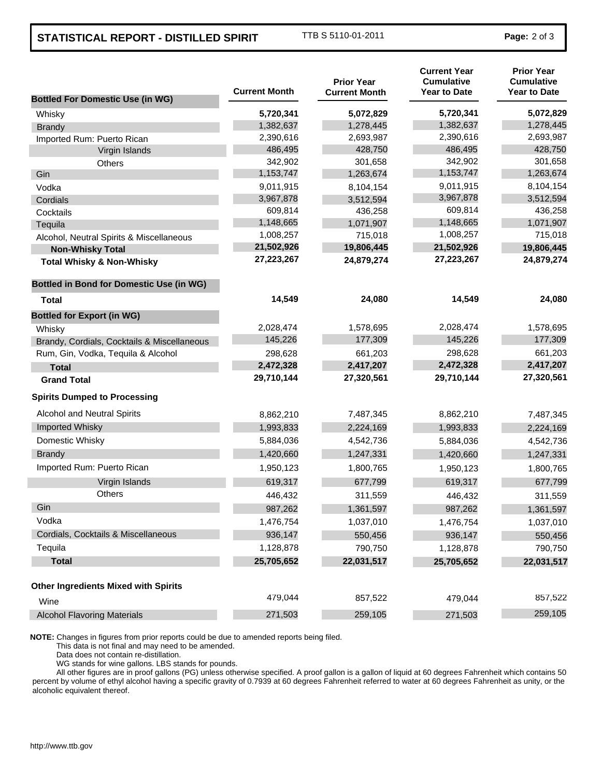## **STATISTICAL REPORT - DISTILLED SPIRIT** TTB S 5110-01-2011 **Page:** 2 of 3

| <b>Bottled For Domestic Use (in WG)</b>         | <b>Current Month</b> | <b>Prior Year</b><br><b>Current Month</b> | <b>Current Year</b><br><b>Cumulative</b><br><b>Year to Date</b> | <b>Prior Year</b><br><b>Cumulative</b><br><b>Year to Date</b> |
|-------------------------------------------------|----------------------|-------------------------------------------|-----------------------------------------------------------------|---------------------------------------------------------------|
| Whisky                                          | 5,720,341            | 5,072,829                                 | 5,720,341                                                       | 5,072,829                                                     |
| <b>Brandy</b>                                   | 1,382,637            | 1,278,445                                 | 1,382,637                                                       | 1,278,445                                                     |
| Imported Rum: Puerto Rican                      | 2,390,616            | 2,693,987                                 | 2,390,616                                                       | 2,693,987                                                     |
| Virgin Islands                                  | 486,495              | 428,750                                   | 486,495                                                         | 428,750                                                       |
| Others                                          | 342,902              | 301,658                                   | 342,902                                                         | 301,658                                                       |
| Gin                                             | 1,153,747            | 1,263,674                                 | 1,153,747                                                       | 1,263,674                                                     |
| Vodka                                           | 9,011,915            | 8,104,154                                 | 9,011,915                                                       | 8,104,154                                                     |
| Cordials                                        | 3,967,878            | 3,512,594                                 | 3,967,878                                                       | 3,512,594                                                     |
| Cocktails                                       | 609,814              | 436,258                                   | 609,814                                                         | 436,258                                                       |
| Tequila                                         | 1,148,665            | 1,071,907                                 | 1,148,665                                                       | 1,071,907                                                     |
| Alcohol, Neutral Spirits & Miscellaneous        | 1,008,257            | 715,018                                   | 1,008,257                                                       | 715,018                                                       |
| <b>Non-Whisky Total</b>                         | 21,502,926           | 19,806,445                                | 21,502,926                                                      | 19,806,445                                                    |
| <b>Total Whisky &amp; Non-Whisky</b>            | 27,223,267           | 24,879,274                                | 27,223,267                                                      | 24,879,274                                                    |
| <b>Bottled in Bond for Domestic Use (in WG)</b> |                      |                                           |                                                                 |                                                               |
| Total                                           | 14,549               | 24,080                                    | 14,549                                                          | 24,080                                                        |
| <b>Bottled for Export (in WG)</b>               |                      |                                           |                                                                 |                                                               |
| Whisky                                          | 2,028,474            | 1,578,695                                 | 2,028,474                                                       | 1,578,695                                                     |
| Brandy, Cordials, Cocktails & Miscellaneous     | 145,226              | 177,309                                   | 145,226                                                         | 177,309                                                       |
| Rum, Gin, Vodka, Tequila & Alcohol              | 298,628              | 661,203                                   | 298,628                                                         | 661,203                                                       |
| <b>Total</b>                                    | 2,472,328            | 2,417,207                                 | 2,472,328                                                       | 2,417,207                                                     |
| <b>Grand Total</b>                              | 29,710,144           | 27,320,561                                | 29,710,144                                                      | 27,320,561                                                    |
| <b>Spirits Dumped to Processing</b>             |                      |                                           |                                                                 |                                                               |
| Alcohol and Neutral Spirits                     | 8,862,210            | 7,487,345                                 | 8,862,210                                                       | 7,487,345                                                     |
| Imported Whisky                                 | 1,993,833            | 2,224,169                                 | 1,993,833                                                       | 2,224,169                                                     |
| Domestic Whisky                                 | 5,884,036            | 4,542,736                                 | 5,884,036                                                       | 4,542,736                                                     |
| <b>Brandy</b>                                   | 1,420,660            | 1,247,331                                 | 1,420,660                                                       | 1,247,331                                                     |
| Imported Rum: Puerto Rican                      | 1,950,123            | 1,800,765                                 | 1,950,123                                                       | 1,800,765                                                     |
| Virgin Islands                                  | 619,317              | 677,799                                   | 619,317                                                         | 677,799                                                       |
| <b>Others</b>                                   | 446,432              | 311,559                                   | 446,432                                                         | 311,559                                                       |
| Gin                                             | 987,262              | 1,361,597                                 | 987,262                                                         | 1,361,597                                                     |
| Vodka                                           | 1,476,754            | 1,037,010                                 | 1,476,754                                                       | 1,037,010                                                     |
| Cordials, Cocktails & Miscellaneous             | 936,147              | 550,456                                   | 936,147                                                         | 550,456                                                       |
| Tequila                                         | 1,128,878            | 790,750                                   | 1,128,878                                                       | 790,750                                                       |
| <b>Total</b>                                    | 25,705,652           | 22,031,517                                | 25,705,652                                                      | 22,031,517                                                    |
| <b>Other Ingredients Mixed with Spirits</b>     |                      |                                           |                                                                 |                                                               |
| Wine                                            | 479,044              | 857,522                                   | 479,044                                                         | 857,522                                                       |
| <b>Alcohol Flavoring Materials</b>              | 271,503              | 259,105                                   | 271,503                                                         | 259,105                                                       |

**NOTE:** Changes in figures from prior reports could be due to amended reports being filed.

This data is not final and may need to be amended.

Data does not contain re-distillation.

WG stands for wine gallons. LBS stands for pounds.

All other figures are in proof gallons (PG) unless otherwise specified. A proof gallon is a gallon of liquid at 60 degrees Fahrenheit which contains 50 percent by volume of ethyl alcohol having a specific gravity of 0.7939 at 60 degrees Fahrenheit referred to water at 60 degrees Fahrenheit as unity, or the alcoholic equivalent thereof.